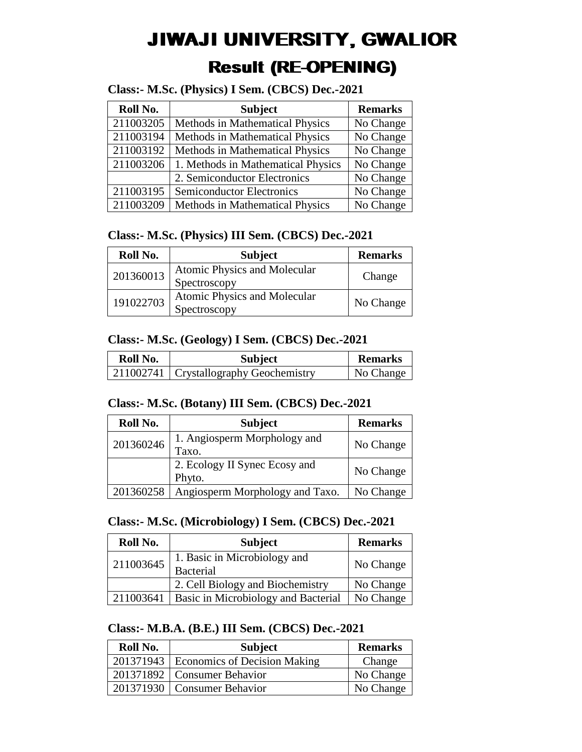# JIWAJI UNIVERSITY, GWALIOR Result (RE-OPENING)

**Class:- M.Sc. (Physics) I Sem. (CBCS) Dec.-2021** 

| Roll No.  | <b>Subject</b>                         | <b>Remarks</b> |
|-----------|----------------------------------------|----------------|
| 211003205 | Methods in Mathematical Physics        | No Change      |
| 211003194 | Methods in Mathematical Physics        | No Change      |
| 211003192 | <b>Methods in Mathematical Physics</b> | No Change      |
| 211003206 | 1. Methods in Mathematical Physics     | No Change      |
|           | 2. Semiconductor Electronics           | No Change      |
| 211003195 | <b>Semiconductor Electronics</b>       | No Change      |
| 211003209 | Methods in Mathematical Physics        | No Change      |

### **Class:- M.Sc. (Physics) III Sem. (CBCS) Dec.-2021**

| Roll No.  | <b>Subject</b>               | <b>Remarks</b> |
|-----------|------------------------------|----------------|
| 201360013 | Atomic Physics and Molecular | Change         |
|           | Spectroscopy                 |                |
| 191022703 | Atomic Physics and Molecular | No Change      |
|           | Spectroscopy                 |                |

#### **Class:- M.Sc. (Geology) I Sem. (CBCS) Dec.-2021**

| Roll No. | <b>Subject</b>                           | <b>Remarks</b> |
|----------|------------------------------------------|----------------|
|          | 211002741   Crystallography Geochemistry | No Change      |

#### **Class:- M.Sc. (Botany) III Sem. (CBCS) Dec.-2021**

| Roll No.  | <b>Subject</b>                          | <b>Remarks</b> |
|-----------|-----------------------------------------|----------------|
| 201360246 | 1. Angiosperm Morphology and<br>Taxo.   | No Change      |
|           | 2. Ecology II Synec Ecosy and<br>Phyto. | No Change      |
| 201360258 | Angiosperm Morphology and Taxo.         | No Change      |

### **Class:- M.Sc. (Microbiology) I Sem. (CBCS) Dec.-2021**

| Roll No.  | <b>Subject</b>                                   | <b>Remarks</b> |
|-----------|--------------------------------------------------|----------------|
| 211003645 | 1. Basic in Microbiology and<br><b>Bacterial</b> | No Change      |
|           | 2. Cell Biology and Biochemistry                 | No Change      |
| 211003641 | Basic in Microbiology and Bacterial              | No Change      |

### **Class:- M.B.A. (B.E.) III Sem. (CBCS) Dec.-2021**

| Roll No.  | <b>Subject</b>                      | <b>Remarks</b> |
|-----------|-------------------------------------|----------------|
| 201371943 | <b>Economics of Decision Making</b> | Change         |
|           | 201371892   Consumer Behavior       | No Change      |
|           | 201371930   Consumer Behavior       | No Change      |